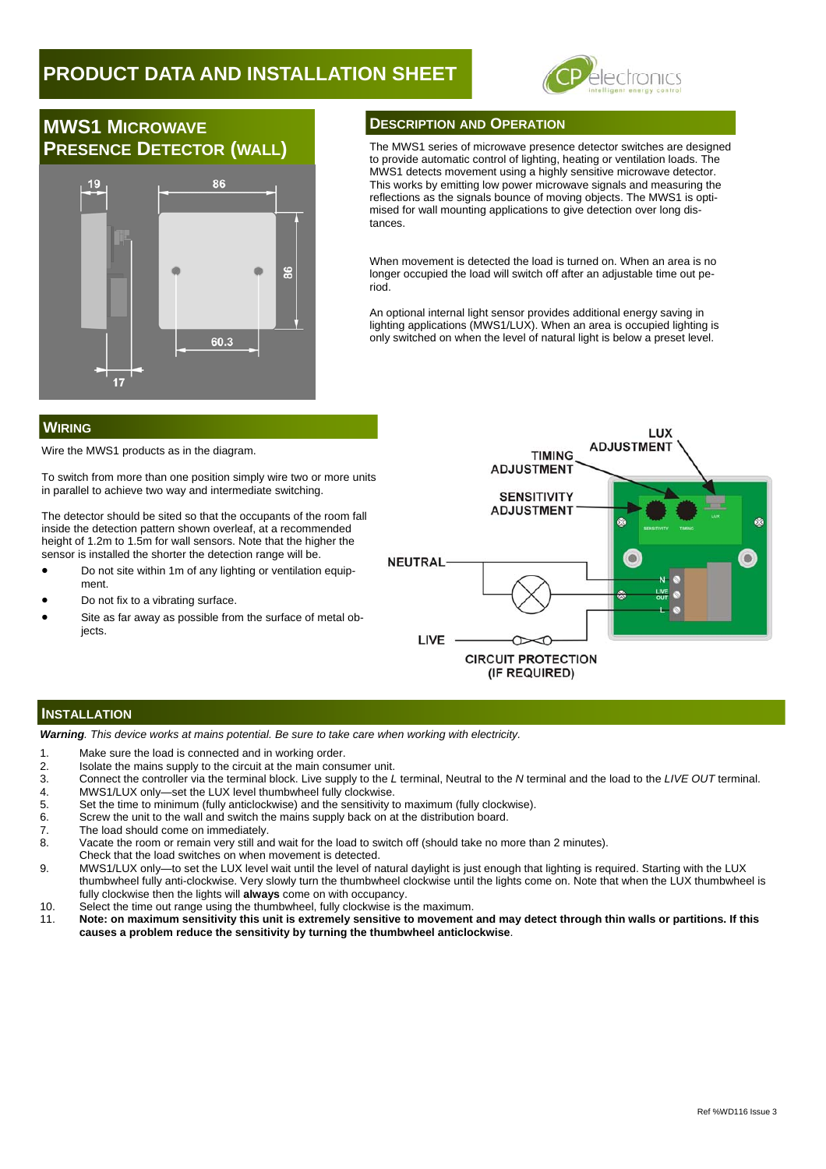## **PRODUCT DATA AND INSTALLATION SHEET**



# **MWS1 MICROWAVE**



#### **DESCRIPTION AND OPERATION**

**PRESENCE DETECTOR (WALL)** The MWS1 series of microwave presence detector switches are designed to provide automatic control of lighting, heating or ventilation loads. The MWS1 detects movement using a highly sensitive microwave detector. This works by emitting low power microwave signals and measuring the reflections as the signals bounce of moving objects. The MWS1 is optimised for wall mounting applications to give detection over long distances.

> When movement is detected the load is turned on. When an area is no longer occupied the load will switch off after an adjustable time out period.

> An optional internal light sensor provides additional energy saving in lighting applications (MWS1/LUX). When an area is occupied lighting is only switched on when the level of natural light is below a preset level.

### **WIRING**

Wire the MWS1 products as in the diagram.

To switch from more than one position simply wire two or more units in parallel to achieve two way and intermediate switching.

The detector should be sited so that the occupants of the room fall inside the detection pattern shown overleaf, at a recommended height of 1.2m to 1.5m for wall sensors. Note that the higher the sensor is installed the shorter the detection range will be.

- Do not site within 1m of any lighting or ventilation equipment.
- Do not fix to a vibrating surface.
- Site as far away as possible from the surface of metal obiects



#### **INSTALLATION**

*Warning. This device works at mains potential. Be sure to take care when working with electricity.* 

- 1. Make sure the load is connected and in working order.
- 2. Isolate the mains supply to the circuit at the main consumer unit.
- 3. Connect the controller via the terminal block. Live supply to the *L* terminal, Neutral to the *N* terminal and the load to the *LIVE OUT* terminal.
- 4. MWS1/LUX only—set the LUX level thumbwheel fully clockwise.<br>5. Set the time to minimum (fully anticlockwise) and the sensitivity to
- 5. Set the time to minimum (fully anticlockwise) and the sensitivity to maximum (fully clockwise).
- 6. Screw the unit to the wall and switch the mains supply back on at the distribution board.
- 7. The load should come on immediately.<br>8. Vacate the room or remain very still and
- Vacate the room or remain very still and wait for the load to switch off (should take no more than 2 minutes).
- Check that the load switches on when movement is detected.
- 9. MWS1/LUX only—to set the LUX level wait until the level of natural daylight is just enough that lighting is required. Starting with the LUX thumbwheel fully anti-clockwise. Very slowly turn the thumbwheel clockwise until the lights come on. Note that when the LUX thumbwheel is fully clockwise then the lights will **always** come on with occupancy.
- 10. Select the time out range using the thumbwheel, fully clockwise is the maximum.
- 11. **Note: on maximum sensitivity this unit is extremely sensitive to movement and may detect through thin walls or partitions. If this causes a problem reduce the sensitivity by turning the thumbwheel anticlockwise**.